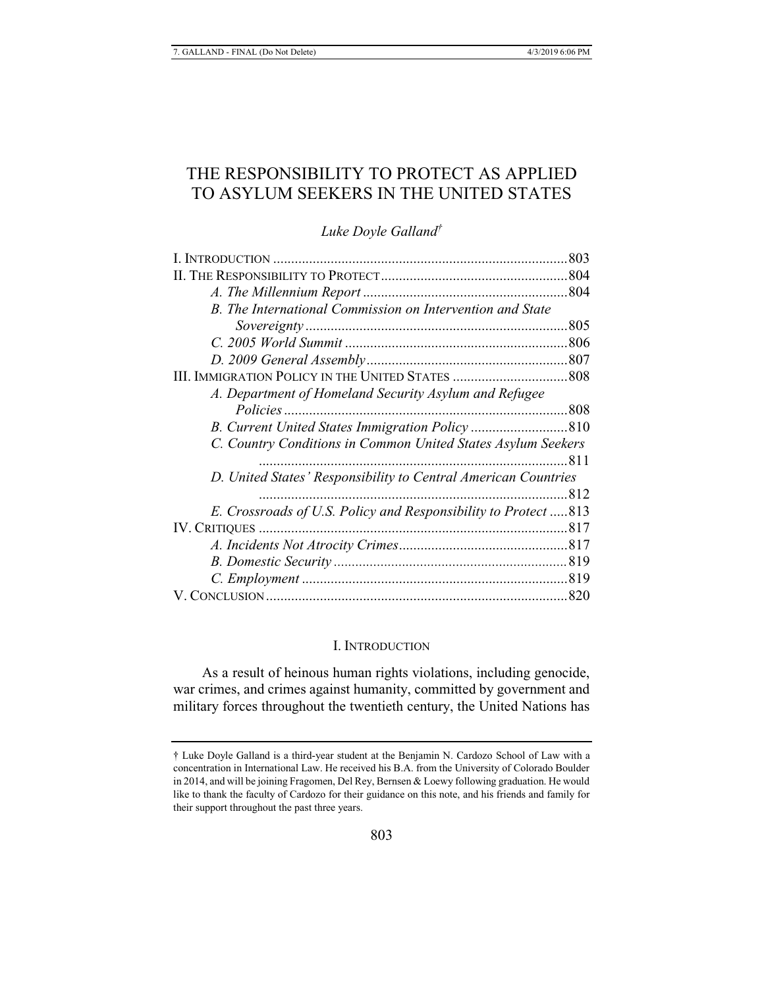# THE RESPONSIBILITY TO PROTECT AS APPLIED TO ASYLUM SEEKERS IN THE UNITED STATES

# *Luke Doyle Galland†*

|                                                                | 803 |
|----------------------------------------------------------------|-----|
|                                                                |     |
|                                                                |     |
| B. The International Commission on Intervention and State      |     |
|                                                                | 805 |
|                                                                |     |
|                                                                |     |
|                                                                |     |
| A. Department of Homeland Security Asylum and Refugee          |     |
|                                                                |     |
|                                                                |     |
| C. Country Conditions in Common United States Asylum Seekers   |     |
|                                                                |     |
| D. United States' Responsibility to Central American Countries |     |
|                                                                | 812 |
| E. Crossroads of U.S. Policy and Responsibility to Protect 813 |     |
|                                                                |     |
|                                                                |     |
|                                                                |     |
|                                                                |     |
|                                                                |     |

#### I. INTRODUCTION

As a result of heinous human rights violations, including genocide, war crimes, and crimes against humanity, committed by government and military forces throughout the twentieth century, the United Nations has

<sup>†</sup> Luke Doyle Galland is a third-year student at the Benjamin N. Cardozo School of Law with a concentration in International Law. He received his B.A. from the University of Colorado Boulder in 2014, and will be joining Fragomen, Del Rey, Bernsen & Loewy following graduation. He would like to thank the faculty of Cardozo for their guidance on this note, and his friends and family for their support throughout the past three years.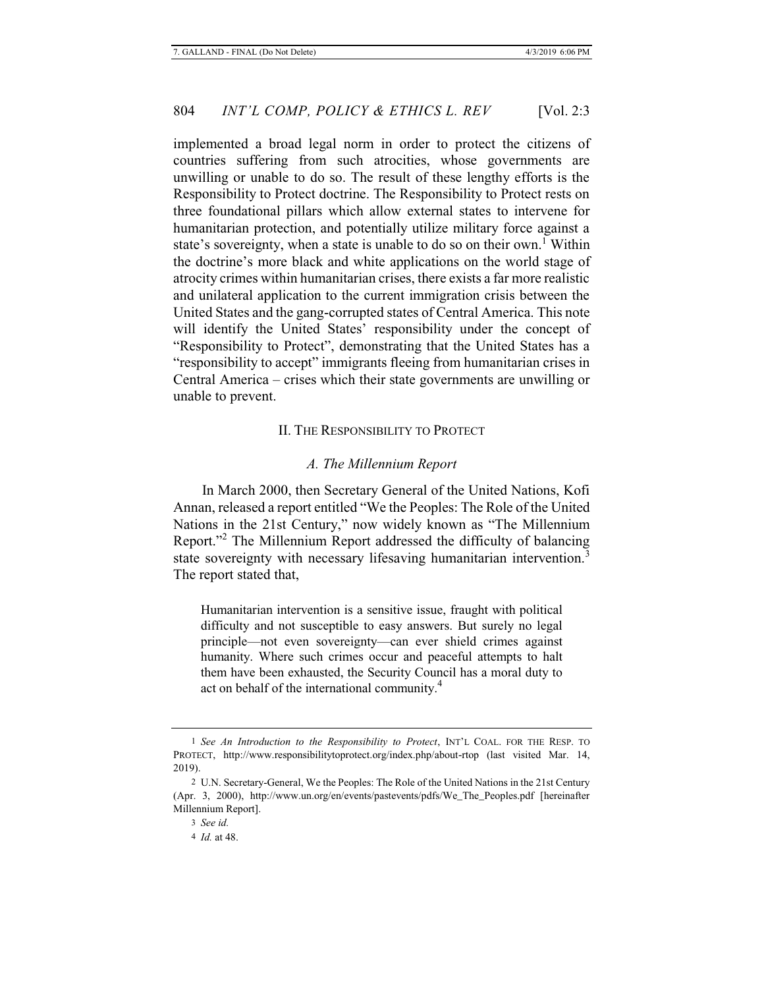implemented a broad legal norm in order to protect the citizens of countries suffering from such atrocities, whose governments are unwilling or unable to do so. The result of these lengthy efforts is the Responsibility to Protect doctrine. The Responsibility to Protect rests on three foundational pillars which allow external states to intervene for humanitarian protection, and potentially utilize military force against a state's sovereignty, when a state is unable to do so on their own.<sup>1</sup> Within the doctrine's more black and white applications on the world stage of atrocity crimes within humanitarian crises, there exists a far more realistic and unilateral application to the current immigration crisis between the United States and the gang-corrupted states of Central America. This note will identify the United States' responsibility under the concept of "Responsibility to Protect", demonstrating that the United States has a "responsibility to accept" immigrants fleeing from humanitarian crises in Central America – crises which their state governments are unwilling or unable to prevent.

### II. THE RESPONSIBILITY TO PROTECT

# *A. The Millennium Report*

In March 2000, then Secretary General of the United Nations, Kofi Annan, released a report entitled "We the Peoples: The Role of the United Nations in the 21st Century," now widely known as "The Millennium Report."<sup>2</sup> The Millennium Report addressed the difficulty of balancing state sovereignty with necessary lifesaving humanitarian intervention.<sup>3</sup> The report stated that,

Humanitarian intervention is a sensitive issue, fraught with political difficulty and not susceptible to easy answers. But surely no legal principle—not even sovereignty—can ever shield crimes against humanity. Where such crimes occur and peaceful attempts to halt them have been exhausted, the Security Council has a moral duty to act on behalf of the international community.<sup>4</sup>

<sup>1</sup> *See An Introduction to the Responsibility to Protect*, INT'L COAL. FOR THE RESP. TO PROTECT, http://www.responsibilitytoprotect.org/index.php/about-rtop (last visited Mar. 14, 2019).

<sup>2</sup> U.N. Secretary-General, We the Peoples: The Role of the United Nations in the 21st Century (Apr. 3, 2000), http://www.un.org/en/events/pastevents/pdfs/We\_The\_Peoples.pdf [hereinafter Millennium Report].

<sup>3</sup> *See id.*

<sup>4</sup> *Id.* at 48.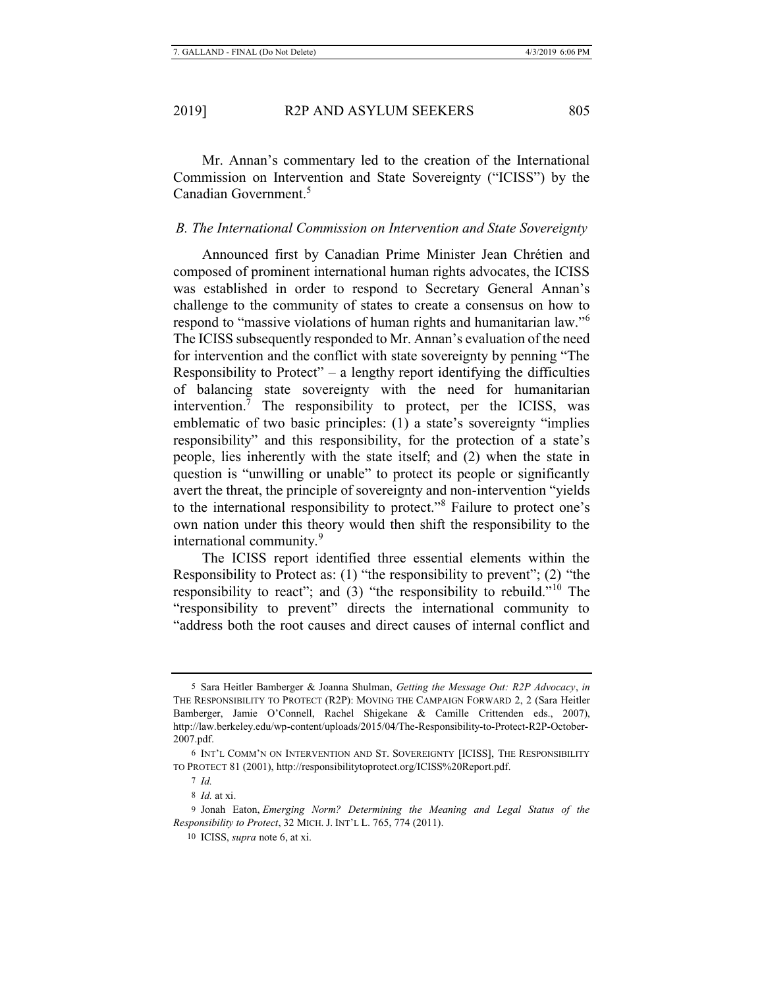Mr. Annan's commentary led to the creation of the International Commission on Intervention and State Sovereignty ("ICISS") by the Canadian Government.5

# *B. The International Commission on Intervention and State Sovereignty*

Announced first by Canadian Prime Minister Jean Chrétien and composed of prominent international human rights advocates, the ICISS was established in order to respond to Secretary General Annan's challenge to the community of states to create a consensus on how to respond to "massive violations of human rights and humanitarian law."<sup>6</sup> The ICISS subsequently responded to Mr. Annan's evaluation of the need for intervention and the conflict with state sovereignty by penning "The Responsibility to Protect" – a lengthy report identifying the difficulties of balancing state sovereignty with the need for humanitarian intervention.<sup>7</sup> The responsibility to protect, per the ICISS, was emblematic of two basic principles: (1) a state's sovereignty "implies responsibility" and this responsibility, for the protection of a state's people, lies inherently with the state itself; and (2) when the state in question is "unwilling or unable" to protect its people or significantly avert the threat, the principle of sovereignty and non-intervention "yields to the international responsibility to protect."<sup>8</sup> Failure to protect one's own nation under this theory would then shift the responsibility to the international community.<sup>9</sup>

The ICISS report identified three essential elements within the Responsibility to Protect as: (1) "the responsibility to prevent"; (2) "the responsibility to react"; and (3) "the responsibility to rebuild."10 The "responsibility to prevent" directs the international community to "address both the root causes and direct causes of internal conflict and

<sup>5</sup> Sara Heitler Bamberger & Joanna Shulman, *Getting the Message Out: R2P Advocacy*, *in* THE RESPONSIBILITY TO PROTECT (R2P): MOVING THE CAMPAIGN FORWARD 2, 2 (Sara Heitler Bamberger, Jamie O'Connell, Rachel Shigekane & Camille Crittenden eds., 2007), http://law.berkeley.edu/wp-content/uploads/2015/04/The-Responsibility-to-Protect-R2P-October-2007.pdf.

<sup>6</sup> INT'L COMM'N ON INTERVENTION AND ST. SOVEREIGNTY [ICISS], THE RESPONSIBILITY TO PROTECT 81 (2001), http://responsibilitytoprotect.org/ICISS%20Report.pdf.

<sup>7</sup> *Id.*

<sup>8</sup> *Id.* at xi.

<sup>9</sup> Jonah Eaton, *Emerging Norm? Determining the Meaning and Legal Status of the Responsibility to Protect*, 32 MICH. J. INT'L L. 765, 774 (2011).

<sup>10</sup> ICISS, *supra* note 6, at xi.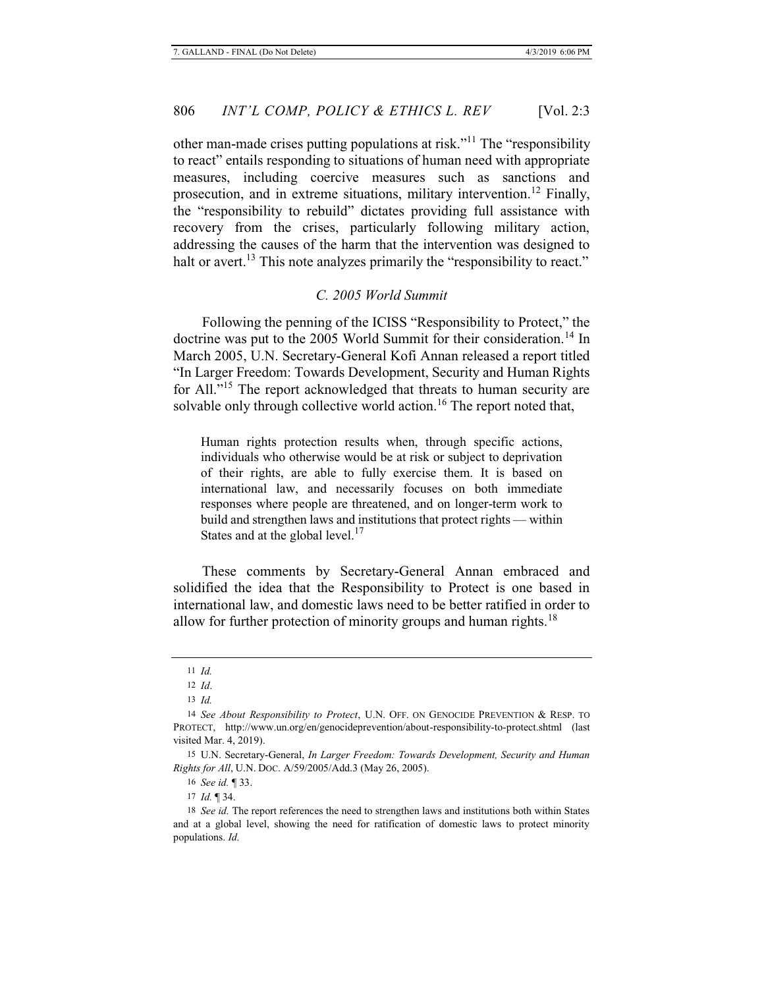other man-made crises putting populations at risk."<sup>11</sup> The "responsibility to react" entails responding to situations of human need with appropriate measures, including coercive measures such as sanctions and prosecution, and in extreme situations, military intervention.<sup>12</sup> Finally, the "responsibility to rebuild" dictates providing full assistance with recovery from the crises, particularly following military action, addressing the causes of the harm that the intervention was designed to halt or avert.<sup>13</sup> This note analyzes primarily the "responsibility to react."

# *C. 2005 World Summit*

Following the penning of the ICISS "Responsibility to Protect," the doctrine was put to the 2005 World Summit for their consideration.<sup>14</sup> In March 2005, U.N. Secretary-General Kofi Annan released a report titled "In Larger Freedom: Towards Development, Security and Human Rights for All."15 The report acknowledged that threats to human security are solvable only through collective world action.<sup>16</sup> The report noted that,

Human rights protection results when, through specific actions, individuals who otherwise would be at risk or subject to deprivation of their rights, are able to fully exercise them. It is based on international law, and necessarily focuses on both immediate responses where people are threatened, and on longer-term work to build and strengthen laws and institutions that protect rights — within States and at the global level.<sup>17</sup>

These comments by Secretary-General Annan embraced and solidified the idea that the Responsibility to Protect is one based in international law, and domestic laws need to be better ratified in order to allow for further protection of minority groups and human rights.<sup>18</sup>

16 *See id.* ¶ 33.

17 *Id.* ¶ 34.

<sup>11</sup> *Id.*

<sup>12</sup> *Id*.

<sup>13</sup> *Id.*

<sup>14</sup> *See About Responsibility to Protect*, U.N. OFF. ON GENOCIDE PREVENTION & RESP. TO PROTECT, http://www.un.org/en/genocideprevention/about-responsibility-to-protect.shtml (last visited Mar. 4, 2019).

<sup>15</sup> U.N. Secretary-General, *In Larger Freedom: Towards Development, Security and Human Rights for All*, U.N. DOC. A/59/2005/Add.3 (May 26, 2005).

<sup>18</sup> *See id.* The report references the need to strengthen laws and institutions both within States and at a global level, showing the need for ratification of domestic laws to protect minority populations. *Id.*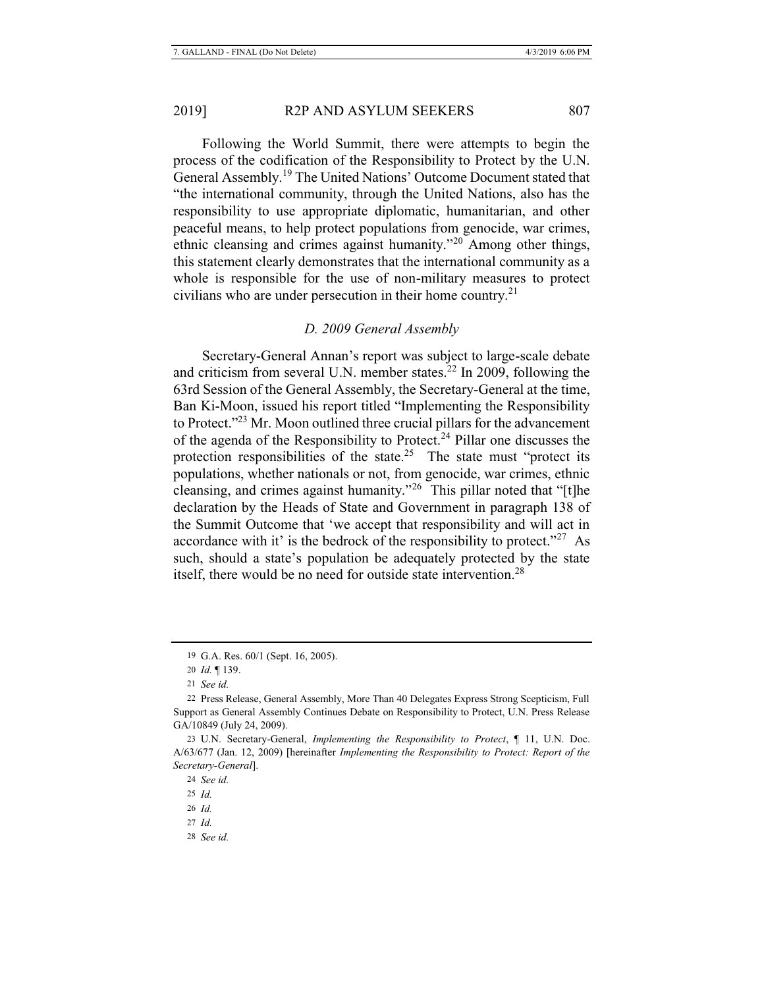Following the World Summit, there were attempts to begin the process of the codification of the Responsibility to Protect by the U.N. General Assembly.<sup>19</sup> The United Nations' Outcome Document stated that "the international community, through the United Nations, also has the responsibility to use appropriate diplomatic, humanitarian, and other peaceful means, to help protect populations from genocide, war crimes, ethnic cleansing and crimes against humanity."20 Among other things, this statement clearly demonstrates that the international community as a whole is responsible for the use of non-military measures to protect civilians who are under persecution in their home country.<sup>21</sup>

#### *D. 2009 General Assembly*

Secretary-General Annan's report was subject to large-scale debate and criticism from several U.N. member states. $^{22}$  In 2009, following the 63rd Session of the General Assembly, the Secretary-General at the time, Ban Ki-Moon, issued his report titled "Implementing the Responsibility to Protect."23 Mr. Moon outlined three crucial pillars for the advancement of the agenda of the Responsibility to Protect.<sup>24</sup> Pillar one discusses the protection responsibilities of the state.<sup>25</sup> The state must "protect its populations, whether nationals or not, from genocide, war crimes, ethnic cleansing, and crimes against humanity."26 This pillar noted that "[t]he declaration by the Heads of State and Government in paragraph 138 of the Summit Outcome that 'we accept that responsibility and will act in accordance with it' is the bedrock of the responsibility to protect."<sup>27</sup> As such, should a state's population be adequately protected by the state itself, there would be no need for outside state intervention.<sup>28</sup>

28 *See id.*

<sup>19</sup> G.A. Res. 60/1 (Sept. 16, 2005).

<sup>20</sup> *Id.* ¶ 139.

<sup>21</sup> *See id.*

<sup>22</sup> Press Release, General Assembly, More Than 40 Delegates Express Strong Scepticism, Full Support as General Assembly Continues Debate on Responsibility to Protect, U.N. Press Release GA/10849 (July 24, 2009).

<sup>23</sup> U.N. Secretary-General, *Implementing the Responsibility to Protect*, ¶ 11, U.N. Doc. A/63/677 (Jan. 12, 2009) [hereinafter *Implementing the Responsibility to Protect: Report of the Secretary-General*].

<sup>24</sup> *See id.*

<sup>25</sup> *Id.*

<sup>26</sup> *Id.*

<sup>27</sup> *Id.*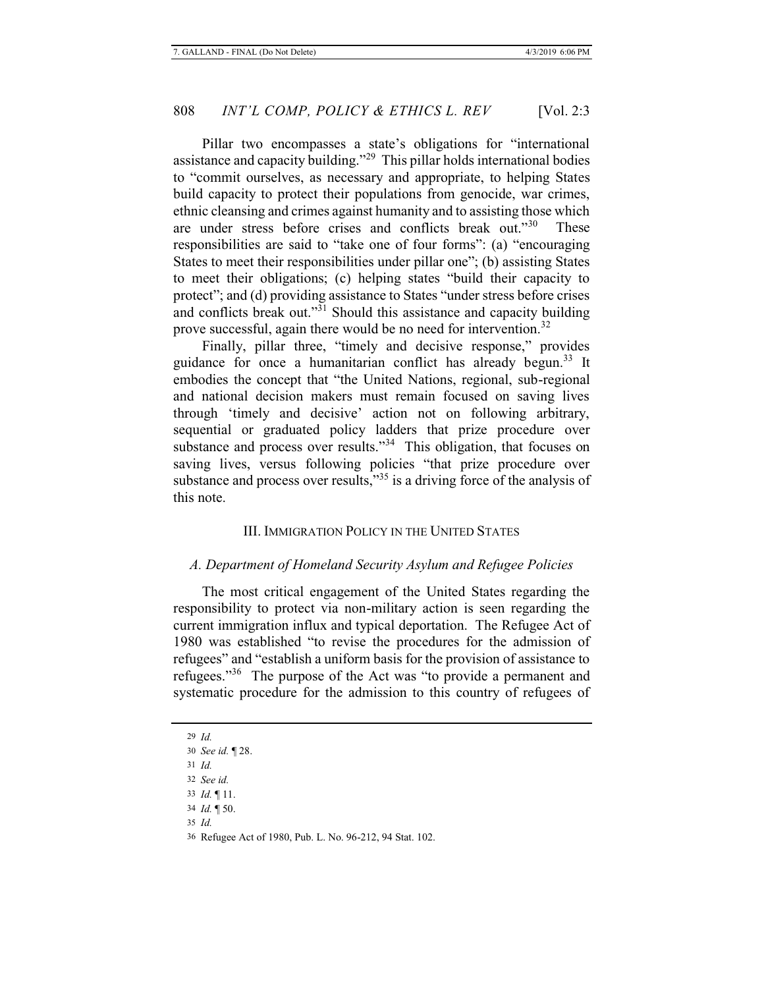Pillar two encompasses a state's obligations for "international assistance and capacity building."29 This pillar holds international bodies to "commit ourselves, as necessary and appropriate, to helping States build capacity to protect their populations from genocide, war crimes, ethnic cleansing and crimes against humanity and to assisting those which are under stress before crises and conflicts break out."<sup>30</sup> These responsibilities are said to "take one of four forms": (a) "encouraging States to meet their responsibilities under pillar one"; (b) assisting States to meet their obligations; (c) helping states "build their capacity to protect"; and (d) providing assistance to States "under stress before crises and conflicts break out."<sup>31</sup> Should this assistance and capacity building prove successful, again there would be no need for intervention.<sup>32</sup>

Finally, pillar three, "timely and decisive response," provides guidance for once a humanitarian conflict has already begun.33 It embodies the concept that "the United Nations, regional, sub-regional and national decision makers must remain focused on saving lives through 'timely and decisive' action not on following arbitrary, sequential or graduated policy ladders that prize procedure over substance and process over results."<sup>34</sup> This obligation, that focuses on saving lives, versus following policies "that prize procedure over substance and process over results," $35$  is a driving force of the analysis of this note.

# III. IMMIGRATION POLICY IN THE UNITED STATES

#### *A. Department of Homeland Security Asylum and Refugee Policies*

The most critical engagement of the United States regarding the responsibility to protect via non-military action is seen regarding the current immigration influx and typical deportation. The Refugee Act of 1980 was established "to revise the procedures for the admission of refugees" and "establish a uniform basis for the provision of assistance to refugees."36 The purpose of the Act was "to provide a permanent and systematic procedure for the admission to this country of refugees of

29 *Id.*

30 *See id.* ¶ 28.

31 *Id.*

32 *See id.*

33 *Id.* ¶ 11.

34 *Id.* ¶ 50.

35 *Id.*

36 Refugee Act of 1980, Pub. L. No. 96-212, 94 Stat. 102.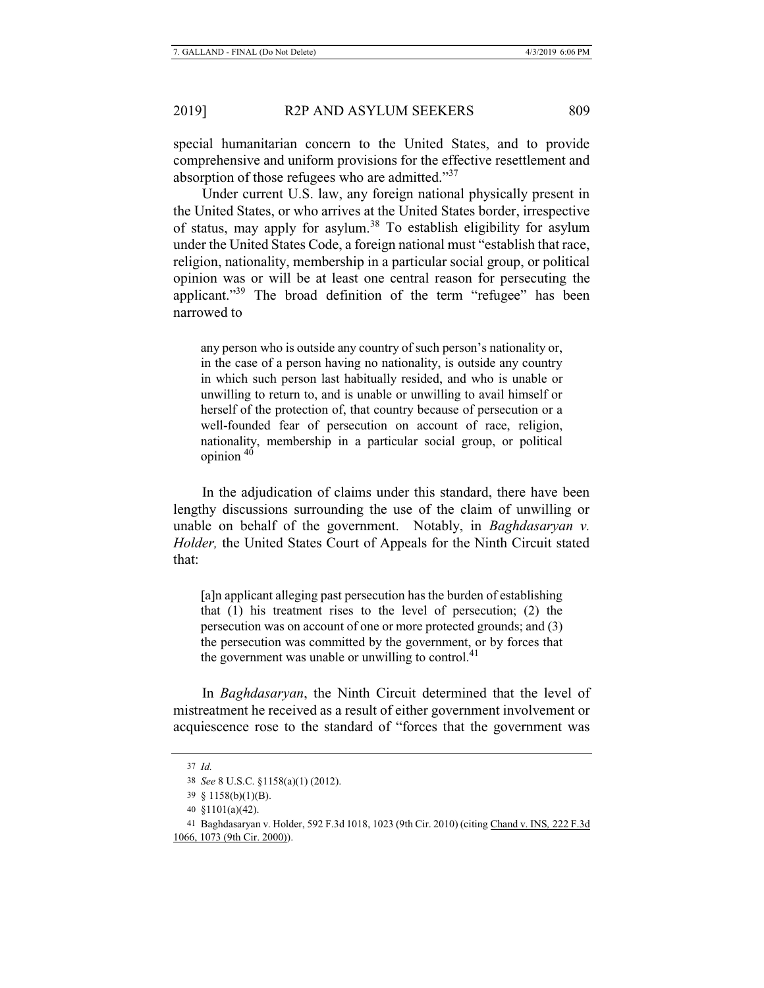special humanitarian concern to the United States, and to provide comprehensive and uniform provisions for the effective resettlement and absorption of those refugees who are admitted."<sup>37</sup>

Under current U.S. law, any foreign national physically present in the United States, or who arrives at the United States border, irrespective of status, may apply for asylum.<sup>38</sup> To establish eligibility for asylum under the United States Code, a foreign national must "establish that race, religion, nationality, membership in a particular social group, or political opinion was or will be at least one central reason for persecuting the applicant."<sup>39</sup> The broad definition of the term "refugee" has been narrowed to

any person who is outside any country of such person's nationality or, in the case of a person having no nationality, is outside any country in which such person last habitually resided, and who is unable or unwilling to return to, and is unable or unwilling to avail himself or herself of the protection of, that country because of persecution or a well-founded fear of persecution on account of race, religion, nationality, membership in a particular social group, or political opinion  $40$ 

In the adjudication of claims under this standard, there have been lengthy discussions surrounding the use of the claim of unwilling or unable on behalf of the government. Notably, in *Baghdasaryan v. Holder,* the United States Court of Appeals for the Ninth Circuit stated that:

[a]n applicant alleging past persecution has the burden of establishing that (1) his treatment rises to the level of persecution; (2) the persecution was on account of one or more protected grounds; and (3) the persecution was committed by the government, or by forces that the government was unable or unwilling to control. $41$ 

In *Baghdasaryan*, the Ninth Circuit determined that the level of mistreatment he received as a result of either government involvement or acquiescence rose to the standard of "forces that the government was

<sup>37</sup> *Id.*

<sup>38</sup> *See* 8 U.S.C. §1158(a)(1) (2012).

<sup>39 § 1158(</sup>b)(1)(B).

<sup>40 §1101(</sup>a)(42).

<sup>41</sup> Baghdasaryan v. Holder, 592 F.3d 1018, 1023 (9th Cir. 2010) (citing Chand v. INS*,* 222 F.3d 1066, 1073 (9th Cir. 2000)).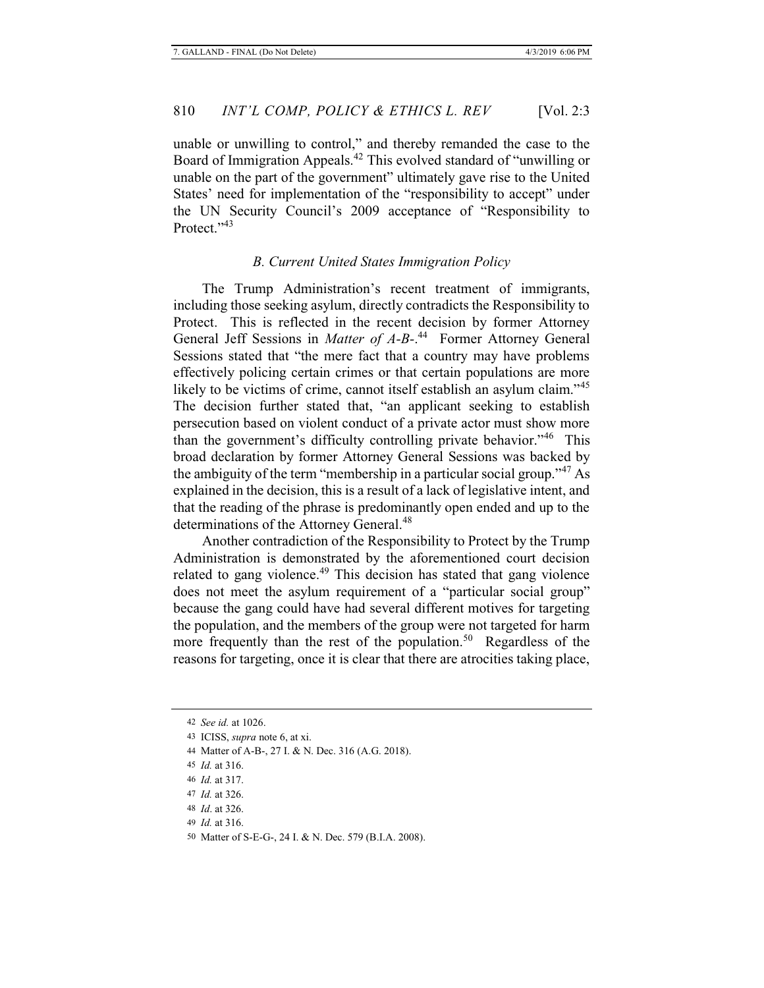unable or unwilling to control," and thereby remanded the case to the Board of Immigration Appeals.<sup>42</sup> This evolved standard of "unwilling or unable on the part of the government" ultimately gave rise to the United States' need for implementation of the "responsibility to accept" under the UN Security Council's 2009 acceptance of "Responsibility to Protect<sup>"43</sup>

#### *B. Current United States Immigration Policy*

The Trump Administration's recent treatment of immigrants, including those seeking asylum, directly contradicts the Responsibility to Protect. This is reflected in the recent decision by former Attorney General Jeff Sessions in *Matter of A-B-*.<sup>44</sup> Former Attorney General Sessions stated that "the mere fact that a country may have problems effectively policing certain crimes or that certain populations are more likely to be victims of crime, cannot itself establish an asylum claim."<sup>45</sup> The decision further stated that, "an applicant seeking to establish persecution based on violent conduct of a private actor must show more than the government's difficulty controlling private behavior."<sup>46</sup> This broad declaration by former Attorney General Sessions was backed by the ambiguity of the term "membership in a particular social group."<sup>47</sup> As explained in the decision, this is a result of a lack of legislative intent, and that the reading of the phrase is predominantly open ended and up to the determinations of the Attorney General.<sup>48</sup>

Another contradiction of the Responsibility to Protect by the Trump Administration is demonstrated by the aforementioned court decision related to gang violence. $49$  This decision has stated that gang violence does not meet the asylum requirement of a "particular social group" because the gang could have had several different motives for targeting the population, and the members of the group were not targeted for harm more frequently than the rest of the population.<sup>50</sup> Regardless of the reasons for targeting, once it is clear that there are atrocities taking place,

<sup>42</sup> *See id.* at 1026.

<sup>43</sup> ICISS, *supra* note 6, at xi.

<sup>44</sup> Matter of A-B-, 27 I. & N. Dec. 316 (A.G. 2018).

<sup>45</sup> *Id.* at 316.

<sup>46</sup> *Id.* at 317.

<sup>47</sup> *Id.* at 326.

<sup>48</sup> *Id*. at 326.

<sup>49</sup> *Id.* at 316.

<sup>50</sup> Matter of S-E-G-, 24 I. & N. Dec. 579 (B.I.A. 2008).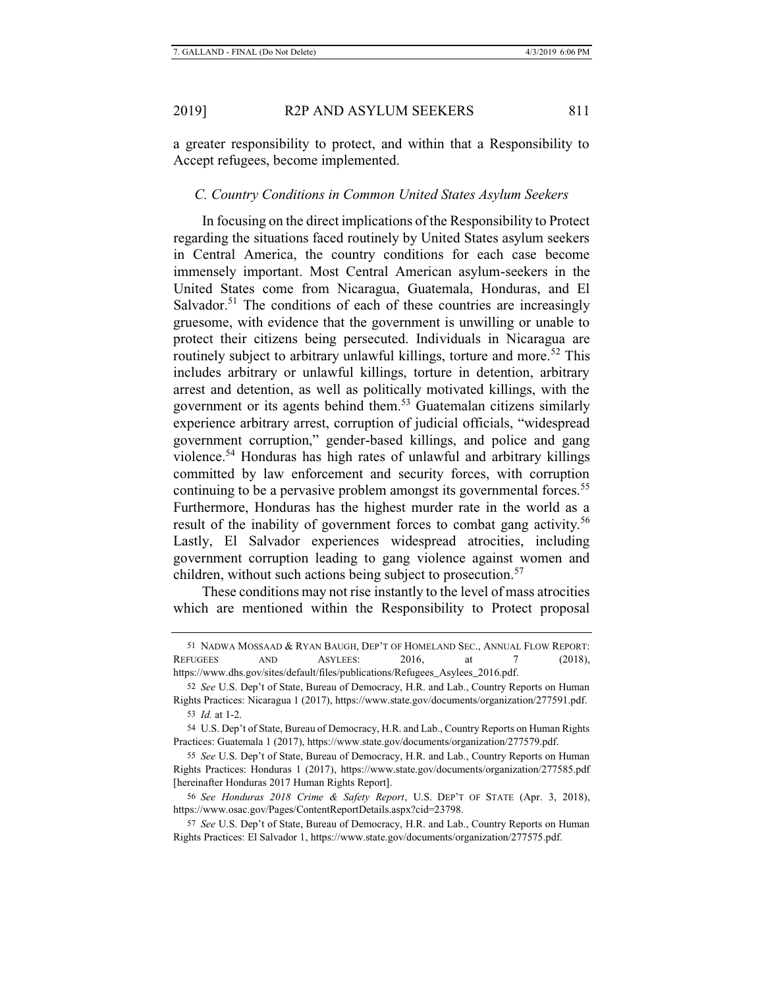a greater responsibility to protect, and within that a Responsibility to Accept refugees, become implemented.

# *C. Country Conditions in Common United States Asylum Seekers*

In focusing on the direct implications of the Responsibility to Protect regarding the situations faced routinely by United States asylum seekers in Central America, the country conditions for each case become immensely important. Most Central American asylum-seekers in the United States come from Nicaragua, Guatemala, Honduras, and El Salvador.<sup>51</sup> The conditions of each of these countries are increasingly gruesome, with evidence that the government is unwilling or unable to protect their citizens being persecuted. Individuals in Nicaragua are routinely subject to arbitrary unlawful killings, torture and more.<sup>52</sup> This includes arbitrary or unlawful killings, torture in detention, arbitrary arrest and detention, as well as politically motivated killings, with the government or its agents behind them.53 Guatemalan citizens similarly experience arbitrary arrest, corruption of judicial officials, "widespread government corruption," gender-based killings, and police and gang violence.<sup>54</sup> Honduras has high rates of unlawful and arbitrary killings committed by law enforcement and security forces, with corruption continuing to be a pervasive problem amongst its governmental forces.<sup>55</sup> Furthermore, Honduras has the highest murder rate in the world as a result of the inability of government forces to combat gang activity.<sup>56</sup> Lastly, El Salvador experiences widespread atrocities, including government corruption leading to gang violence against women and children, without such actions being subject to prosecution.<sup>57</sup>

These conditions may not rise instantly to the level of mass atrocities which are mentioned within the Responsibility to Protect proposal

<sup>51</sup> NADWA MOSSAAD & RYAN BAUGH, DEP'T OF HOMELAND SEC., ANNUAL FLOW REPORT: REFUGEES AND ASYLEES: 2016, at 7 (2018), https://www.dhs.gov/sites/default/files/publications/Refugees\_Asylees\_2016.pdf.

<sup>52</sup> *See* U.S. Dep't of State, Bureau of Democracy, H.R. and Lab., Country Reports on Human Rights Practices: Nicaragua 1 (2017), https://www.state.gov/documents/organization/277591.pdf. 53 *Id.* at 1-2.

<sup>54</sup> U.S. Dep't of State, Bureau of Democracy, H.R. and Lab., Country Reports on Human Rights Practices: Guatemala 1 (2017), https://www.state.gov/documents/organization/277579.pdf.

<sup>55</sup> *See* U.S. Dep't of State, Bureau of Democracy, H.R. and Lab., Country Reports on Human Rights Practices: Honduras 1 (2017), https://www.state.gov/documents/organization/277585.pdf [hereinafter Honduras 2017 Human Rights Report].

<sup>56</sup> *See Honduras 2018 Crime & Safety Report*, U.S. DEP'T OF STATE (Apr. 3, 2018), https://www.osac.gov/Pages/ContentReportDetails.aspx?cid=23798.

<sup>57</sup> *See* U.S. Dep't of State, Bureau of Democracy, H.R. and Lab., Country Reports on Human Rights Practices: El Salvador 1, https://www.state.gov/documents/organization/277575.pdf.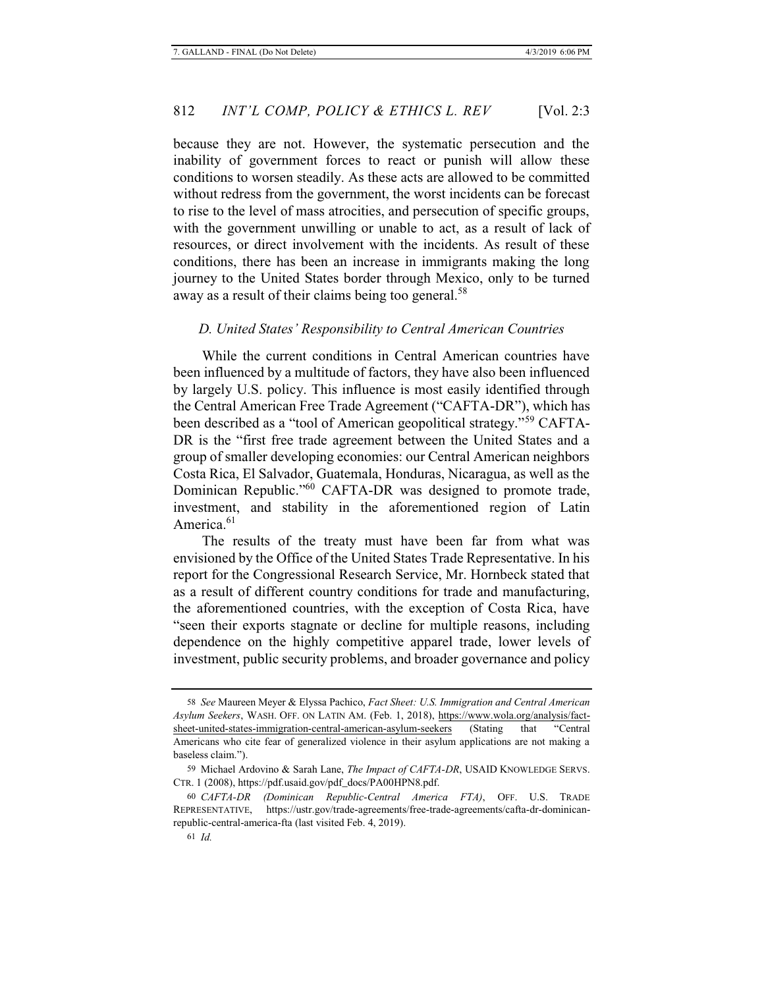because they are not. However, the systematic persecution and the inability of government forces to react or punish will allow these conditions to worsen steadily. As these acts are allowed to be committed without redress from the government, the worst incidents can be forecast to rise to the level of mass atrocities, and persecution of specific groups, with the government unwilling or unable to act, as a result of lack of resources, or direct involvement with the incidents. As result of these conditions, there has been an increase in immigrants making the long journey to the United States border through Mexico, only to be turned away as a result of their claims being too general.<sup>58</sup>

#### *D. United States' Responsibility to Central American Countries*

While the current conditions in Central American countries have been influenced by a multitude of factors, they have also been influenced by largely U.S. policy. This influence is most easily identified through the Central American Free Trade Agreement ("CAFTA-DR"), which has been described as a "tool of American geopolitical strategy."59 CAFTA-DR is the "first free trade agreement between the United States and a group of smaller developing economies: our Central American neighbors Costa Rica, El Salvador, Guatemala, Honduras, Nicaragua, as well as the Dominican Republic."60 CAFTA-DR was designed to promote trade, investment, and stability in the aforementioned region of Latin America. $61$ 

The results of the treaty must have been far from what was envisioned by the Office of the United States Trade Representative. In his report for the Congressional Research Service, Mr. Hornbeck stated that as a result of different country conditions for trade and manufacturing, the aforementioned countries, with the exception of Costa Rica, have "seen their exports stagnate or decline for multiple reasons, including dependence on the highly competitive apparel trade, lower levels of investment, public security problems, and broader governance and policy

<sup>58</sup> *See* Maureen Meyer & Elyssa Pachico, *Fact Sheet: U.S. Immigration and Central American Asylum Seekers*, WASH. OFF. ON LATIN AM. (Feb. 1, 2018), https://www.wola.org/analysis/factsheet-united-states-immigration-central-american-asylum-seekers (Stating that "Central Americans who cite fear of generalized violence in their asylum applications are not making a baseless claim.").

<sup>59</sup> Michael Ardovino & Sarah Lane, *The Impact of CAFTA-DR*, USAID KNOWLEDGE SERVS. CTR. 1 (2008), https://pdf.usaid.gov/pdf\_docs/PA00HPN8.pdf.

<sup>60</sup> *CAFTA-DR (Dominican Republic-Central America FTA)*, OFF. U.S. TRADE REPRESENTATIVE, https://ustr.gov/trade-agreements/free-trade-agreements/cafta-dr-dominicanrepublic-central-america-fta (last visited Feb. 4, 2019).

<sup>61</sup> *Id.*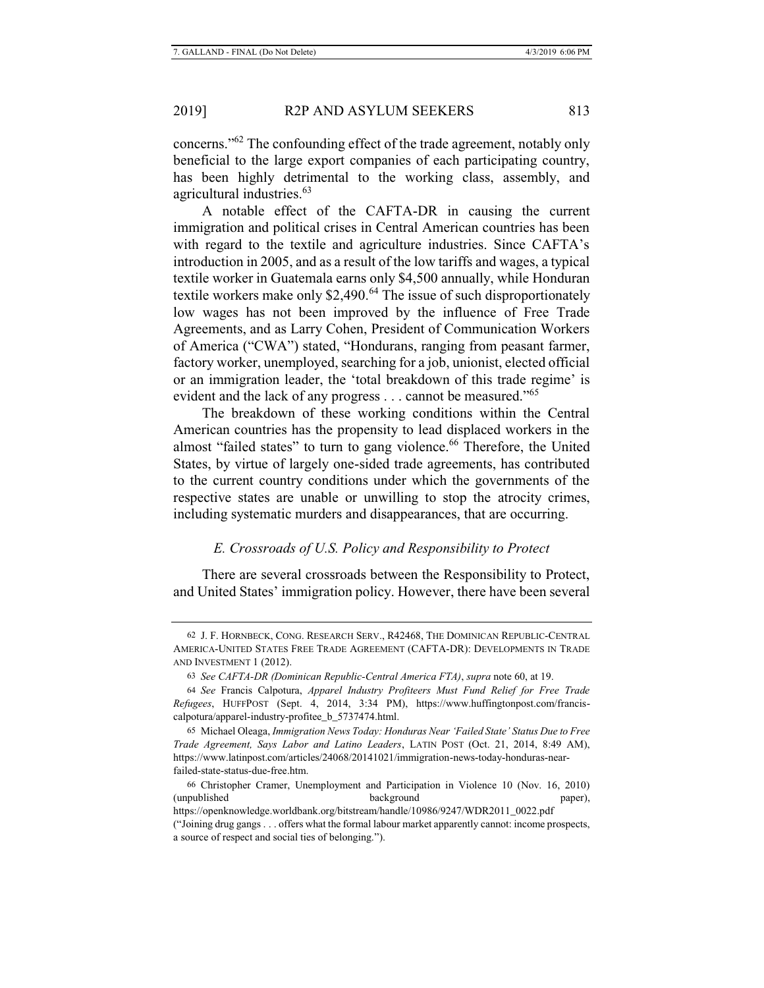concerns."62 The confounding effect of the trade agreement, notably only beneficial to the large export companies of each participating country, has been highly detrimental to the working class, assembly, and agricultural industries.<sup>63</sup>

A notable effect of the CAFTA-DR in causing the current immigration and political crises in Central American countries has been with regard to the textile and agriculture industries. Since CAFTA's introduction in 2005, and as a result of the low tariffs and wages, a typical textile worker in Guatemala earns only \$4,500 annually, while Honduran textile workers make only  $$2,490<sup>64</sup>$  The issue of such disproportionately low wages has not been improved by the influence of Free Trade Agreements, and as Larry Cohen, President of Communication Workers of America ("CWA") stated, "Hondurans, ranging from peasant farmer, factory worker, unemployed, searching for a job, unionist, elected official or an immigration leader, the 'total breakdown of this trade regime' is evident and the lack of any progress . . . cannot be measured."<sup>65</sup>

The breakdown of these working conditions within the Central American countries has the propensity to lead displaced workers in the almost "failed states" to turn to gang violence.<sup>66</sup> Therefore, the United States, by virtue of largely one-sided trade agreements, has contributed to the current country conditions under which the governments of the respective states are unable or unwilling to stop the atrocity crimes, including systematic murders and disappearances, that are occurring.

# *E. Crossroads of U.S. Policy and Responsibility to Protect*

There are several crossroads between the Responsibility to Protect, and United States' immigration policy. However, there have been several

<sup>62</sup> J. F. HORNBECK, CONG. RESEARCH SERV., R42468, THE DOMINICAN REPUBLIC-CENTRAL AMERICA-UNITED STATES FREE TRADE AGREEMENT (CAFTA-DR): DEVELOPMENTS IN TRADE AND INVESTMENT 1 (2012).

<sup>63</sup> *See CAFTA-DR (Dominican Republic-Central America FTA)*, *supra* note 60, at 19.

<sup>64</sup> *See* Francis Calpotura, *Apparel Industry Profiteers Must Fund Relief for Free Trade Refugees*, HUFFPOST (Sept. 4, 2014, 3:34 PM), https://www.huffingtonpost.com/franciscalpotura/apparel-industry-profitee\_b\_5737474.html.

<sup>65</sup> Michael Oleaga, *Immigration News Today: Honduras Near 'Failed State' Status Due to Free Trade Agreement, Says Labor and Latino Leaders*, LATIN POST (Oct. 21, 2014, 8:49 AM), https://www.latinpost.com/articles/24068/20141021/immigration-news-today-honduras-nearfailed-state-status-due-free.htm.

<sup>66</sup> Christopher Cramer, Unemployment and Participation in Violence 10 (Nov. 16, 2010) (unpublished background paper),

https://openknowledge.worldbank.org/bitstream/handle/10986/9247/WDR2011\_0022.pdf ("Joining drug gangs . . . offers what the formal labour market apparently cannot: income prospects, a source of respect and social ties of belonging.").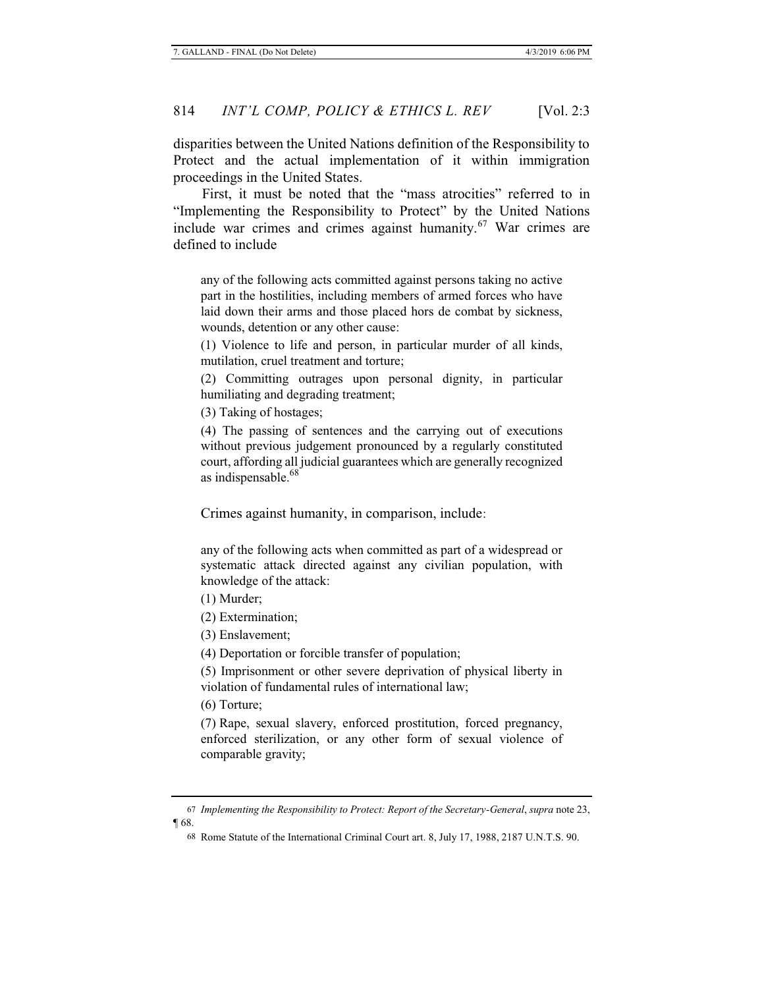disparities between the United Nations definition of the Responsibility to Protect and the actual implementation of it within immigration proceedings in the United States.

First, it must be noted that the "mass atrocities" referred to in "Implementing the Responsibility to Protect" by the United Nations include war crimes and crimes against humanity.<sup>67</sup> War crimes are defined to include

any of the following acts committed against persons taking no active part in the hostilities, including members of armed forces who have laid down their arms and those placed hors de combat by sickness, wounds, detention or any other cause:

(1) Violence to life and person, in particular murder of all kinds, mutilation, cruel treatment and torture;

(2) Committing outrages upon personal dignity, in particular humiliating and degrading treatment;

(3) Taking of hostages;

(4) The passing of sentences and the carrying out of executions without previous judgement pronounced by a regularly constituted court, affording all judicial guarantees which are generally recognized as indispensable.<sup>68</sup>

Crimes against humanity, in comparison, include:

any of the following acts when committed as part of a widespread or systematic attack directed against any civilian population, with knowledge of the attack:

(1) Murder;

(2) Extermination;

(3) Enslavement;

(4) Deportation or forcible transfer of population;

(5) Imprisonment or other severe deprivation of physical liberty in violation of fundamental rules of international law;

(6) Torture;

(7) Rape, sexual slavery, enforced prostitution, forced pregnancy, enforced sterilization, or any other form of sexual violence of comparable gravity;

<sup>67</sup> *Implementing the Responsibility to Protect: Report of the Secretary-General*, *supra* note 23, ¶ 68.

<sup>68</sup> Rome Statute of the International Criminal Court art. 8, July 17, 1988, 2187 U.N.T.S. 90.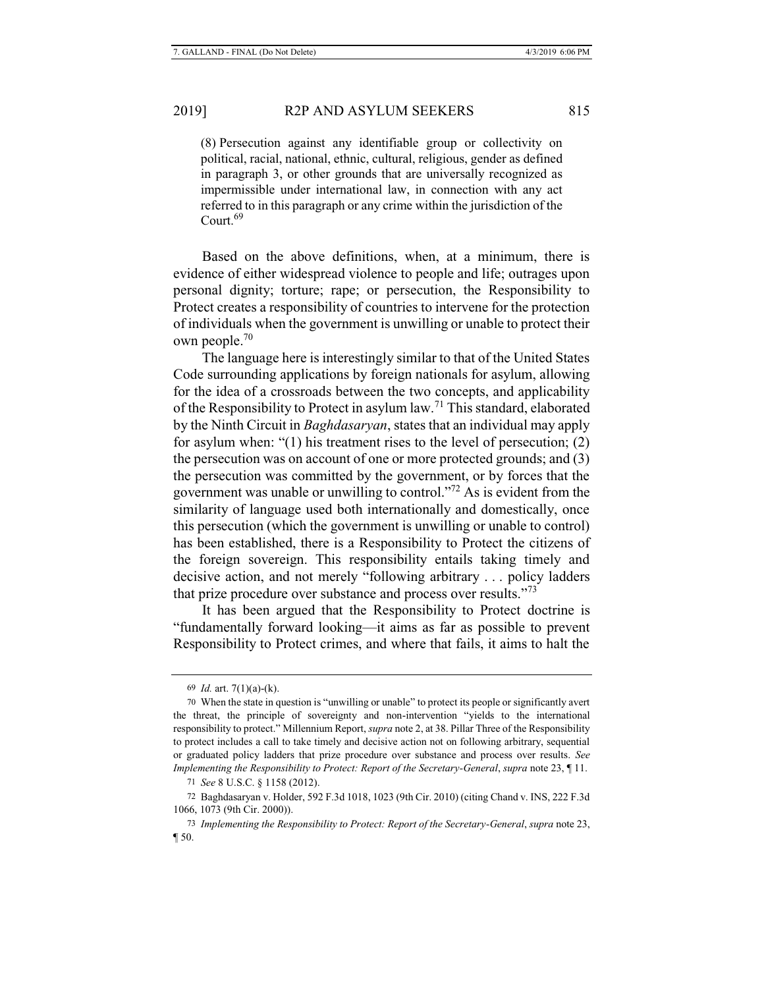(8) Persecution against any identifiable group or collectivity on political, racial, national, ethnic, cultural, religious, gender as defined in paragraph 3, or other grounds that are universally recognized as impermissible under international law, in connection with any act referred to in this paragraph or any crime within the jurisdiction of the Court.<sup>69</sup>

Based on the above definitions, when, at a minimum, there is evidence of either widespread violence to people and life; outrages upon personal dignity; torture; rape; or persecution, the Responsibility to Protect creates a responsibility of countries to intervene for the protection of individuals when the government is unwilling or unable to protect their own people.70

The language here is interestingly similar to that of the United States Code surrounding applications by foreign nationals for asylum, allowing for the idea of a crossroads between the two concepts, and applicability of the Responsibility to Protect in asylum law.71 This standard, elaborated by the Ninth Circuit in *Baghdasaryan*, states that an individual may apply for asylum when: "(1) his treatment rises to the level of persecution; (2) the persecution was on account of one or more protected grounds; and (3) the persecution was committed by the government, or by forces that the government was unable or unwilling to control."72 As is evident from the similarity of language used both internationally and domestically, once this persecution (which the government is unwilling or unable to control) has been established, there is a Responsibility to Protect the citizens of the foreign sovereign. This responsibility entails taking timely and decisive action, and not merely "following arbitrary . . . policy ladders that prize procedure over substance and process over results."<sup>73</sup>

It has been argued that the Responsibility to Protect doctrine is "fundamentally forward looking—it aims as far as possible to prevent Responsibility to Protect crimes, and where that fails, it aims to halt the

<sup>69</sup> *Id.* art. 7(1)(a)-(k).

<sup>70</sup> When the state in question is "unwilling or unable" to protect its people or significantly avert the threat, the principle of sovereignty and non-intervention "yields to the international responsibility to protect." Millennium Report, *supra* note 2, at 38. Pillar Three of the Responsibility to protect includes a call to take timely and decisive action not on following arbitrary, sequential or graduated policy ladders that prize procedure over substance and process over results. *See Implementing the Responsibility to Protect: Report of the Secretary-General*, *supra* note 23, ¶ 11.

<sup>71</sup> *See* 8 U.S.C. § 1158 (2012).

<sup>72</sup> Baghdasaryan v. Holder, 592 F.3d 1018, 1023 (9th Cir. 2010) (citing Chand v. INS, 222 F.3d 1066, 1073 (9th Cir. 2000)).

<sup>73</sup> *Implementing the Responsibility to Protect: Report of the Secretary-General*, *supra* note 23, ¶ 50.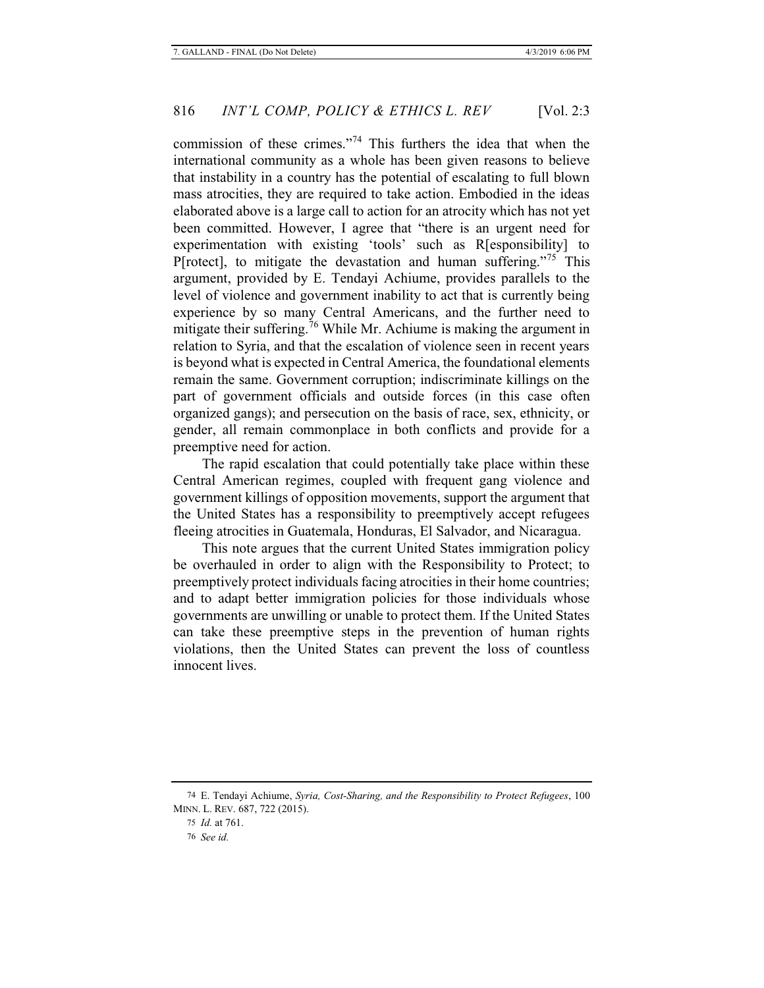commission of these crimes."74 This furthers the idea that when the international community as a whole has been given reasons to believe that instability in a country has the potential of escalating to full blown mass atrocities, they are required to take action. Embodied in the ideas elaborated above is a large call to action for an atrocity which has not yet been committed. However, I agree that "there is an urgent need for experimentation with existing 'tools' such as R[esponsibility] to P[rotect], to mitigate the devastation and human suffering."75 This argument, provided by E. Tendayi Achiume, provides parallels to the level of violence and government inability to act that is currently being experience by so many Central Americans, and the further need to mitigate their suffering.<sup>76</sup> While Mr. Achiume is making the argument in relation to Syria, and that the escalation of violence seen in recent years is beyond what is expected in Central America, the foundational elements remain the same. Government corruption; indiscriminate killings on the part of government officials and outside forces (in this case often organized gangs); and persecution on the basis of race, sex, ethnicity, or gender, all remain commonplace in both conflicts and provide for a preemptive need for action.

The rapid escalation that could potentially take place within these Central American regimes, coupled with frequent gang violence and government killings of opposition movements, support the argument that the United States has a responsibility to preemptively accept refugees fleeing atrocities in Guatemala, Honduras, El Salvador, and Nicaragua.

This note argues that the current United States immigration policy be overhauled in order to align with the Responsibility to Protect; to preemptively protect individuals facing atrocities in their home countries; and to adapt better immigration policies for those individuals whose governments are unwilling or unable to protect them. If the United States can take these preemptive steps in the prevention of human rights violations, then the United States can prevent the loss of countless innocent lives.

<sup>74</sup> E. Tendayi Achiume, *Syria, Cost-Sharing, and the Responsibility to Protect Refugees*, 100 MINN. L. REV. 687, 722 (2015).

<sup>75</sup> *Id.* at 761.

<sup>76</sup> *See id.*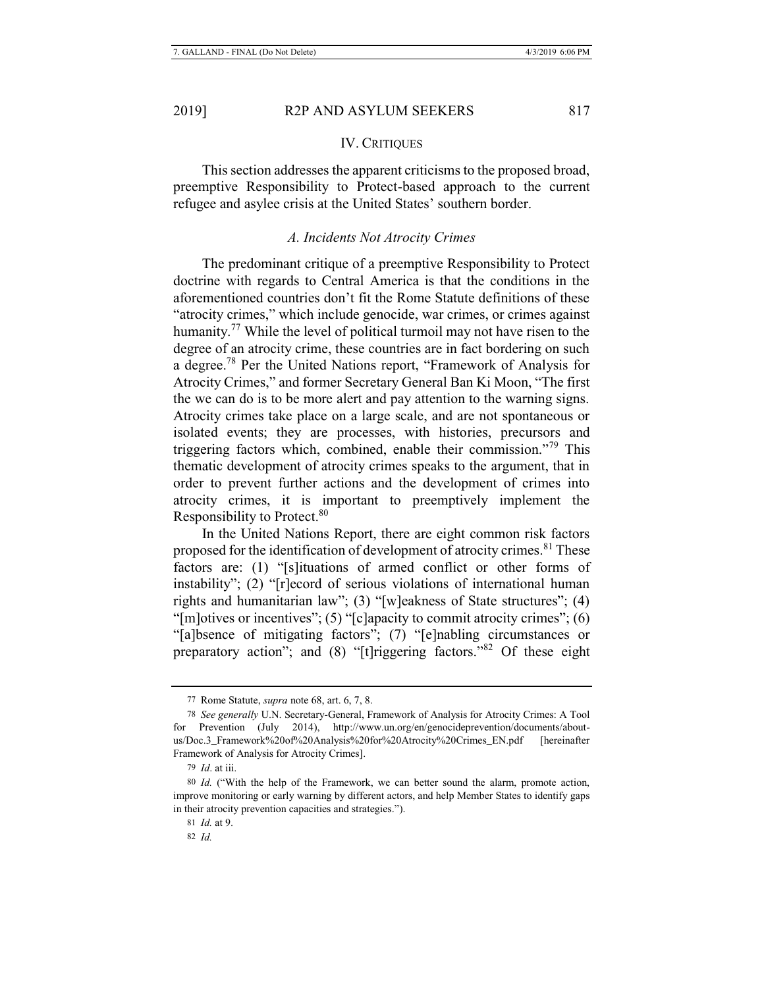#### IV. CRITIQUES

This section addresses the apparent criticisms to the proposed broad, preemptive Responsibility to Protect-based approach to the current refugee and asylee crisis at the United States' southern border.

#### *A. Incidents Not Atrocity Crimes*

The predominant critique of a preemptive Responsibility to Protect doctrine with regards to Central America is that the conditions in the aforementioned countries don't fit the Rome Statute definitions of these "atrocity crimes," which include genocide, war crimes, or crimes against humanity.<sup>77</sup> While the level of political turmoil may not have risen to the degree of an atrocity crime, these countries are in fact bordering on such a degree.78 Per the United Nations report, "Framework of Analysis for Atrocity Crimes," and former Secretary General Ban Ki Moon, "The first the we can do is to be more alert and pay attention to the warning signs. Atrocity crimes take place on a large scale, and are not spontaneous or isolated events; they are processes, with histories, precursors and triggering factors which, combined, enable their commission."79 This thematic development of atrocity crimes speaks to the argument, that in order to prevent further actions and the development of crimes into atrocity crimes, it is important to preemptively implement the Responsibility to Protect.<sup>80</sup>

In the United Nations Report, there are eight common risk factors proposed for the identification of development of atrocity crimes.<sup>81</sup> These factors are: (1) "[s]ituations of armed conflict or other forms of instability"; (2) "[r]ecord of serious violations of international human rights and humanitarian law"; (3) "[w]eakness of State structures"; (4) "[m]otives or incentives"; (5) "[c]apacity to commit atrocity crimes"; (6) "[a]bsence of mitigating factors"; (7) "[e]nabling circumstances or preparatory action"; and (8) "[t]riggering factors."<sup>82</sup> Of these eight

<sup>77</sup> Rome Statute, *supra* note 68, art. 6, 7, 8.

<sup>78</sup> *See generally* U.N. Secretary-General, Framework of Analysis for Atrocity Crimes: A Tool for Prevention (July 2014), http://www.un.org/en/genocideprevention/documents/aboutus/Doc.3\_Framework%20of%20Analysis%20for%20Atrocity%20Crimes\_EN.pdf [hereinafter Framework of Analysis for Atrocity Crimes].

<sup>79</sup> *Id*. at iii.

<sup>80</sup> *Id.* ("With the help of the Framework, we can better sound the alarm, promote action, improve monitoring or early warning by different actors, and help Member States to identify gaps in their atrocity prevention capacities and strategies.").

<sup>81</sup> *Id.* at 9.

<sup>82</sup> *Id.*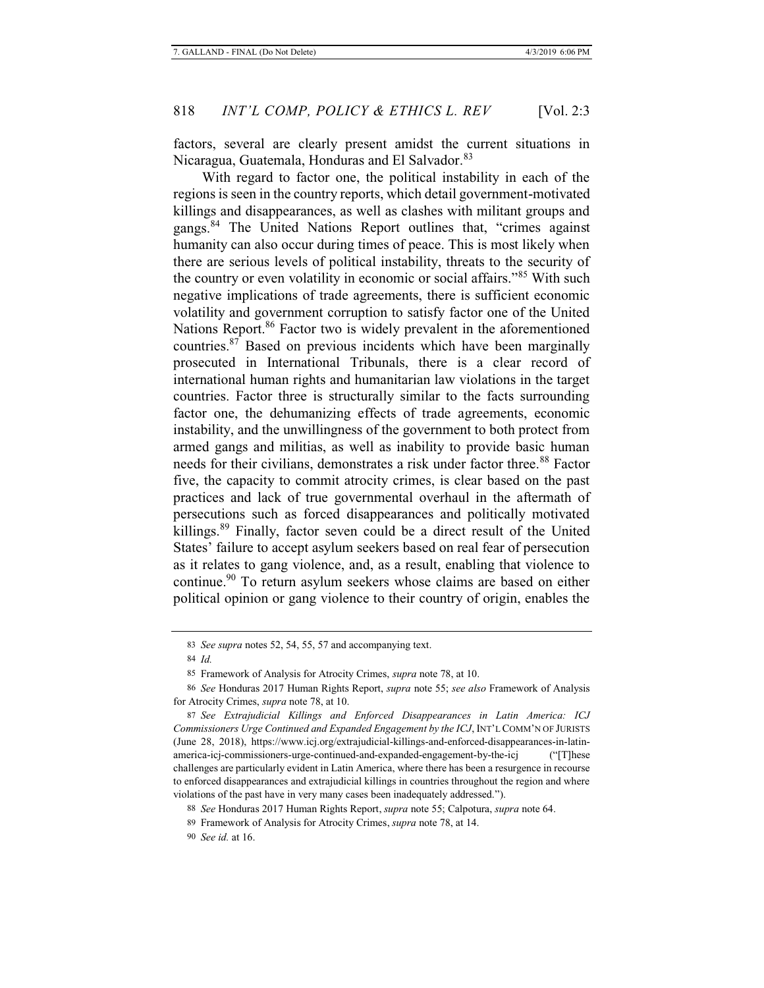factors, several are clearly present amidst the current situations in Nicaragua, Guatemala, Honduras and El Salvador.<sup>83</sup>

With regard to factor one, the political instability in each of the regions is seen in the country reports, which detail government-motivated killings and disappearances, as well as clashes with militant groups and gangs.<sup>84</sup> The United Nations Report outlines that, "crimes against humanity can also occur during times of peace. This is most likely when there are serious levels of political instability, threats to the security of the country or even volatility in economic or social affairs."85 With such negative implications of trade agreements, there is sufficient economic volatility and government corruption to satisfy factor one of the United Nations Report.<sup>86</sup> Factor two is widely prevalent in the aforementioned countries.87 Based on previous incidents which have been marginally prosecuted in International Tribunals, there is a clear record of international human rights and humanitarian law violations in the target countries. Factor three is structurally similar to the facts surrounding factor one, the dehumanizing effects of trade agreements, economic instability, and the unwillingness of the government to both protect from armed gangs and militias, as well as inability to provide basic human needs for their civilians, demonstrates a risk under factor three.<sup>88</sup> Factor five, the capacity to commit atrocity crimes, is clear based on the past practices and lack of true governmental overhaul in the aftermath of persecutions such as forced disappearances and politically motivated killings.89 Finally, factor seven could be a direct result of the United States' failure to accept asylum seekers based on real fear of persecution as it relates to gang violence, and, as a result, enabling that violence to continue.<sup>90</sup> To return asylum seekers whose claims are based on either political opinion or gang violence to their country of origin, enables the

<sup>83</sup> *See supra* notes 52, 54, 55, 57 and accompanying text.

<sup>84</sup> *Id.*

<sup>85</sup> Framework of Analysis for Atrocity Crimes, *supra* note 78, at 10.

<sup>86</sup> *See* Honduras 2017 Human Rights Report, *supra* note 55; *see also* Framework of Analysis for Atrocity Crimes, *supra* note 78, at 10.

<sup>87</sup> *See Extrajudicial Killings and Enforced Disappearances in Latin America: ICJ Commissioners Urge Continued and Expanded Engagement by the ICJ*, INT'L COMM'N OF JURISTS (June 28, 2018), https://www.icj.org/extrajudicial-killings-and-enforced-disappearances-in-latinamerica-icj-commissioners-urge-continued-and-expanded-engagement-by-the-icj ("[T]hese challenges are particularly evident in Latin America, where there has been a resurgence in recourse to enforced disappearances and extrajudicial killings in countries throughout the region and where violations of the past have in very many cases been inadequately addressed.").

<sup>88</sup> *See* Honduras 2017 Human Rights Report, *supra* note 55; Calpotura, *supra* note 64.

<sup>89</sup> Framework of Analysis for Atrocity Crimes, *supra* note 78, at 14.

<sup>90</sup> *See id.* at 16.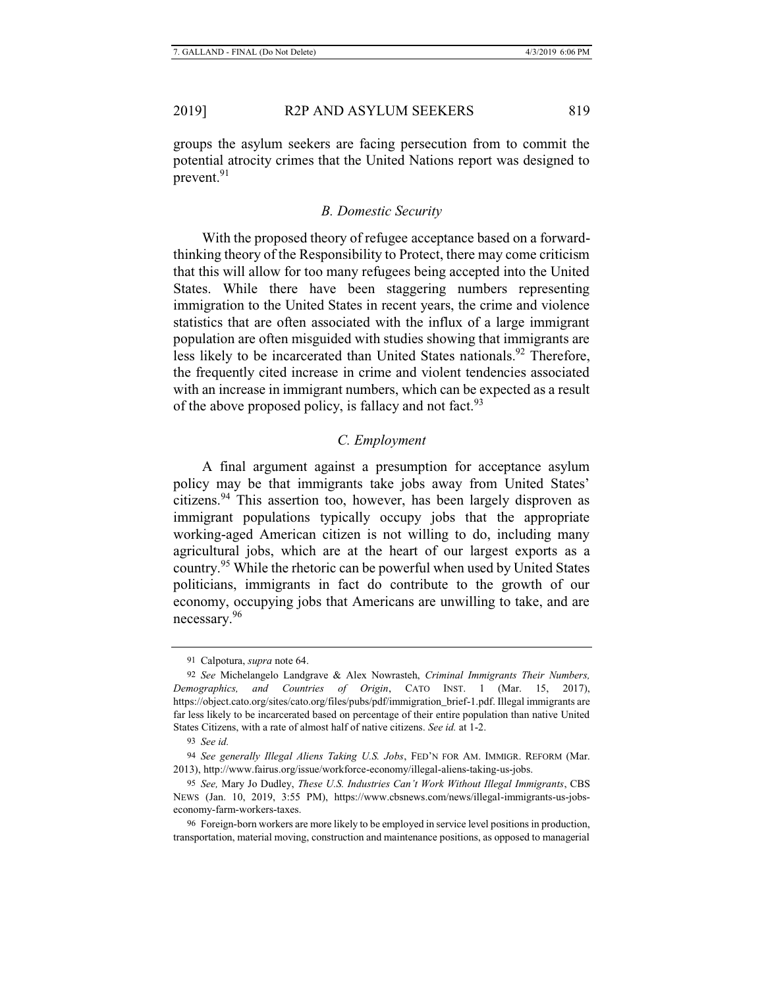groups the asylum seekers are facing persecution from to commit the potential atrocity crimes that the United Nations report was designed to prevent.<sup>91</sup>

#### *B. Domestic Security*

With the proposed theory of refugee acceptance based on a forwardthinking theory of the Responsibility to Protect, there may come criticism that this will allow for too many refugees being accepted into the United States. While there have been staggering numbers representing immigration to the United States in recent years, the crime and violence statistics that are often associated with the influx of a large immigrant population are often misguided with studies showing that immigrants are less likely to be incarcerated than United States nationals.<sup>92</sup> Therefore, the frequently cited increase in crime and violent tendencies associated with an increase in immigrant numbers, which can be expected as a result of the above proposed policy, is fallacy and not fact.<sup>93</sup>

# *C. Employment*

A final argument against a presumption for acceptance asylum policy may be that immigrants take jobs away from United States' citizens.94 This assertion too, however, has been largely disproven as immigrant populations typically occupy jobs that the appropriate working-aged American citizen is not willing to do, including many agricultural jobs, which are at the heart of our largest exports as a country.95 While the rhetoric can be powerful when used by United States politicians, immigrants in fact do contribute to the growth of our economy, occupying jobs that Americans are unwilling to take, and are necessary.<sup>96</sup>

<sup>91</sup> Calpotura, *supra* note 64.

<sup>92</sup> *See* Michelangelo Landgrave & Alex Nowrasteh, *Criminal Immigrants Their Numbers, Demographics, and Countries of Origin*, CATO INST. 1 (Mar. 15, 2017), https://object.cato.org/sites/cato.org/files/pubs/pdf/immigration\_brief-1.pdf. Illegal immigrants are far less likely to be incarcerated based on percentage of their entire population than native United States Citizens, with a rate of almost half of native citizens. *See id.* at 1-2.

<sup>93</sup> *See id.*

<sup>94</sup> *See generally Illegal Aliens Taking U.S. Jobs*, FED'N FOR AM. IMMIGR. REFORM (Mar. 2013), http://www.fairus.org/issue/workforce-economy/illegal-aliens-taking-us-jobs.

<sup>95</sup> *See,* Mary Jo Dudley, *These U.S. Industries Can't Work Without Illegal Immigrants*, CBS NEWS (Jan. 10, 2019, 3:55 PM), https://www.cbsnews.com/news/illegal-immigrants-us-jobseconomy-farm-workers-taxes.

<sup>96</sup> Foreign-born workers are more likely to be employed in service level positions in production, transportation, material moving, construction and maintenance positions, as opposed to managerial